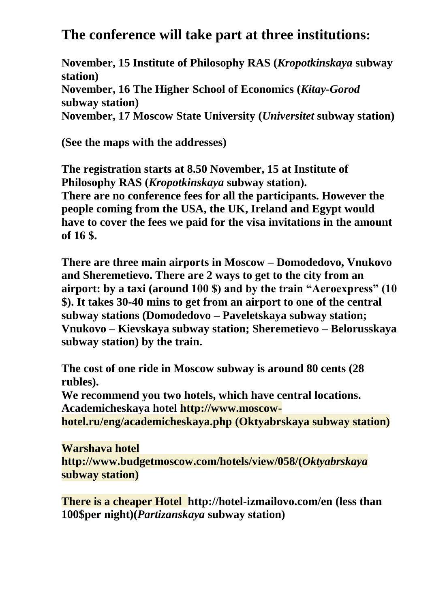## **The conference will take part at three institutions:**

**November, 15 Institute of Philosophy RAS (***Kropotkinskaya* **subway station) November, 16 The Higher School of Economics (***Kitay-Gorod* **subway station) November, 17 Moscow State University (***Universitet* **subway station)**

**(See the maps with the addresses)**

**The registration starts at 8.50 November, 15 at Institute of Philosophy RAS (***Kropotkinskaya* **subway station). There are no conference fees for all the participants. However the people coming from the USA, the UK, Ireland and Egypt would have to cover the fees we paid for the visa invitations in the amount of 16 \$.**

**There are three main airports in Moscow – Domodedovo, Vnukovo and Sheremetievo. There are 2 ways to get to the city from an airport: by a taxi (around 100 \$) and by the train "Aeroexpress" (10 \$). It takes 30-40 mins to get from an airport to one of the central subway stations (Domodedovo – Paveletskaya subway station; Vnukovo – Kievskaya subway station; Sheremetievo – Belorusskaya subway station) by the train.**

**The cost of one ride in Moscow subway is around 80 cents (28 rubles).**

**We recommend you two hotels, which have central locations. Academicheskaya hotel [http://www.moscow-](http://www.moscow-hotel.ru/eng/academicheskaya.php)**

```
hotel.ru/eng/academicheskaya.php (Oktyabrskaya subway station)
```
**Warshava hotel [http://www.budgetmoscow.com/hotels/view/058/\(](http://www.budgetmoscow.com/hotels/view/058/)***Oktyabrskaya* **subway station)**

**There is a cheaper Hotel <http://hotel-izmailovo.com/en> (less than 100\$per night)(***Partizanskaya* **subway station)**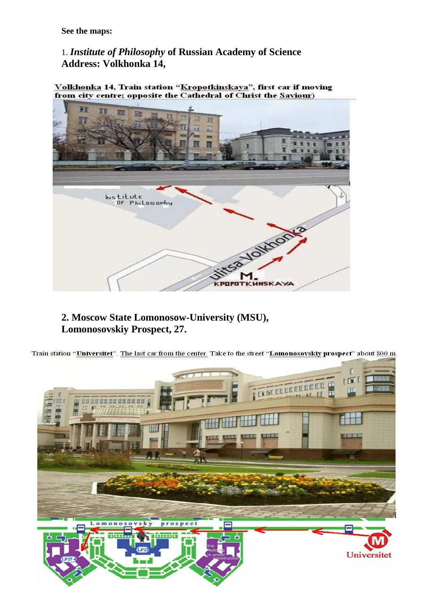**See the maps:** 

1. *Institute of Philosophy* **of Russian Academy of Science Address: Volkhonka 14,** 

Volkhonka 14, Train station "Kropotkinskaya", first car if moving from city centre; opposite the Cathedral of Christ the Saviour)



**2. Moscow State Lomonosow-University (MSU), Lomonosovskiy Prospect, 27.** 

Train station "Universitet". The last car from the center. Take to the street "Lomonosovskiy prospect" about 800 m.